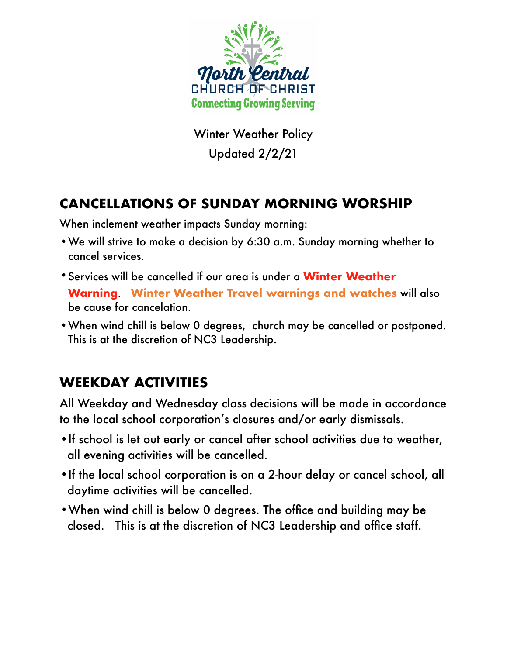

Winter Weather Policy Updated 2/2/21

## **CANCELLATIONS OF SUNDAY MORNING WORSHIP**

When inclement weather impacts Sunday morning:

- •We will strive to make a decision by 6:30 a.m. Sunday morning whether to cancel services.
- •Services will be cancelled if our area is under a **Winter Weather Warning**. **Winter Weather Travel warnings and watches** will also be cause for cancelation.
- •When wind chill is below 0 degrees, church may be cancelled or postponed. This is at the discretion of NC3 Leadership.

## **WEEKDAY ACTIVITIES**

All Weekday and Wednesday class decisions will be made in accordance to the local school corporation's closures and/or early dismissals.

- •If school is let out early or cancel after school activities due to weather, all evening activities will be cancelled.
- •If the local school corporation is on a 2-hour delay or cancel school, all daytime activities will be cancelled.
- •When wind chill is below 0 degrees. The office and building may be closed. This is at the discretion of NC3 Leadership and office staff.